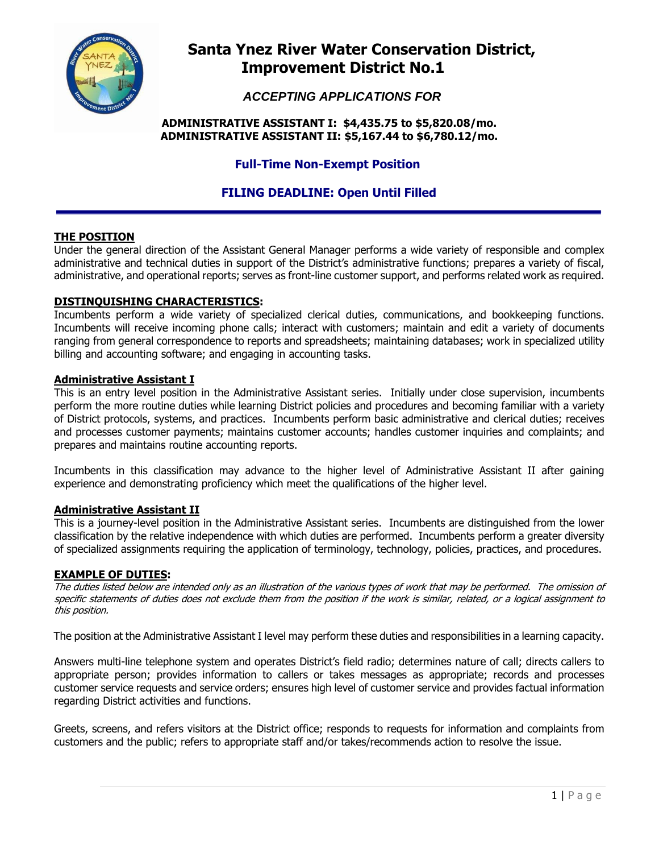

# **Santa Ynez River Water Conservation District, Improvement District No.1**

 *ACCEPTING APPLICATIONS FOR* 

## **ADMINISTRATIVE ASSISTANT I: \$4,435.75 to \$5,820.08/mo. ADMINISTRATIVE ASSISTANT II: \$5,167.44 to \$6,780.12/mo.**

# **Full-Time Non-Exempt Position**

# **FILING DEADLINE: Open Until Filled**

# **THE POSITION**

Under the general direction of the Assistant General Manager performs a wide variety of responsible and complex administrative and technical duties in support of the District's administrative functions; prepares a variety of fiscal, administrative, and operational reports; serves as front-line customer support, and performs related work as required.

## **DISTINQUISHING CHARACTERISTICS:**

Incumbents perform a wide variety of specialized clerical duties, communications, and bookkeeping functions. Incumbents will receive incoming phone calls; interact with customers; maintain and edit a variety of documents ranging from general correspondence to reports and spreadsheets; maintaining databases; work in specialized utility billing and accounting software; and engaging in accounting tasks.

## **Administrative Assistant I**

This is an entry level position in the Administrative Assistant series. Initially under close supervision, incumbents perform the more routine duties while learning District policies and procedures and becoming familiar with a variety of District protocols, systems, and practices. Incumbents perform basic administrative and clerical duties; receives and processes customer payments; maintains customer accounts; handles customer inquiries and complaints; and prepares and maintains routine accounting reports.

Incumbents in this classification may advance to the higher level of Administrative Assistant II after gaining experience and demonstrating proficiency which meet the qualifications of the higher level.

## **Administrative Assistant II**

This is a journey-level position in the Administrative Assistant series. Incumbents are distinguished from the lower classification by the relative independence with which duties are performed. Incumbents perform a greater diversity of specialized assignments requiring the application of terminology, technology, policies, practices, and procedures.

## **EXAMPLE OF DUTIES:**

The duties listed below are intended only as an illustration of the various types of work that may be performed. The omission of specific statements of duties does not exclude them from the position if the work is similar, related, or a logical assignment to this position.

The position at the Administrative Assistant I level may perform these duties and responsibilities in a learning capacity.

Answers multi-line telephone system and operates District's field radio; determines nature of call; directs callers to appropriate person; provides information to callers or takes messages as appropriate; records and processes customer service requests and service orders; ensures high level of customer service and provides factual information regarding District activities and functions.

Greets, screens, and refers visitors at the District office; responds to requests for information and complaints from customers and the public; refers to appropriate staff and/or takes/recommends action to resolve the issue.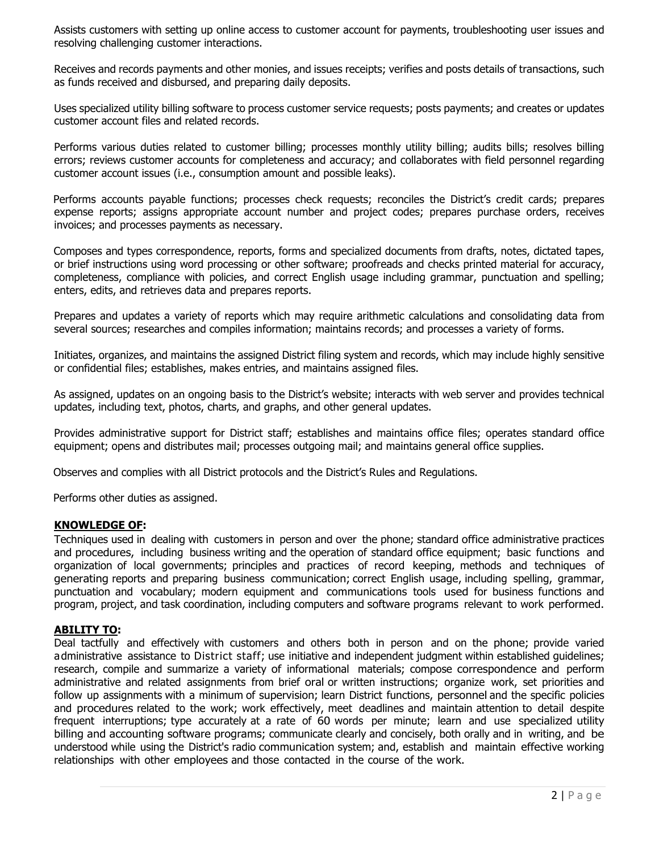Assists customers with setting up online access to customer account for payments, troubleshooting user issues and resolving challenging customer interactions.

Receives and records payments and other monies, and issues receipts; verifies and posts details of transactions, such as funds received and disbursed, and preparing daily deposits.

Uses specialized utility billing software to process customer service requests; posts payments; and creates or updates customer account files and related records.

Performs various duties related to customer billing; processes monthly utility billing; audits bills; resolves billing errors; reviews customer accounts for completeness and accuracy; and collaborates with field personnel regarding customer account issues (i.e., consumption amount and possible leaks).

Performs accounts payable functions; processes check requests; reconciles the District's credit cards; prepares expense reports; assigns appropriate account number and project codes; prepares purchase orders, receives invoices; and processes payments as necessary.

Composes and types correspondence, reports, forms and specialized documents from drafts, notes, dictated tapes, or brief instructions using word processing or other software; proofreads and checks printed material for accuracy, completeness, compliance with policies, and correct English usage including grammar, punctuation and spelling; enters, edits, and retrieves data and prepares reports.

Prepares and updates a variety of reports which may require arithmetic calculations and consolidating data from several sources; researches and compiles information; maintains records; and processes a variety of forms.

Initiates, organizes, and maintains the assigned District filing system and records, which may include highly sensitive or confidential files; establishes, makes entries, and maintains assigned files.

As assigned, updates on an ongoing basis to the District's website; interacts with web server and provides technical updates, including text, photos, charts, and graphs, and other general updates.

Provides administrative support for District staff; establishes and maintains office files; operates standard office equipment; opens and distributes mail; processes outgoing mail; and maintains general office supplies.

Observes and complies with all District protocols and the District's Rules and Regulations.

Performs other duties as assigned.

#### **KNOWLEDGE OF:**

Techniques used in dealing with customers in person and over the phone; standard office administrative practices and procedures, including business writing and the operation of standard office equipment; basic functions and organization of local governments; principles and practices of record keeping, methods and techniques of generating reports and preparing business communication; correct English usage, including spelling, grammar, punctuation and vocabulary; modern equipment and communications tools used for business functions and program, project, and task coordination, including computers and software programs relevant to work performed.

#### **ABILITY TO:**

Deal tactfully and effectively with customers and others both in person and on the phone; provide varied administrative assistance to District staff; use initiative and independent judgment within established guidelines; research, compile and summarize a variety of informational materials; compose correspondence and perform administrative and related assignments from brief oral or written instructions; organize work, set priorities and follow up assignments with a minimum of supervision; learn District functions, personnel and the specific policies and procedures related to the work; work effectively, meet deadlines and maintain attention to detail despite frequent interruptions; type accurately at a rate of 60 words per minute; learn and use specialized utility billing and accounting software programs; communicate clearly and concisely, both orally and in writing, and be understood while using the District's radio communication system; and, establish and maintain effective working relationships with other employees and those contacted in the course of the work.